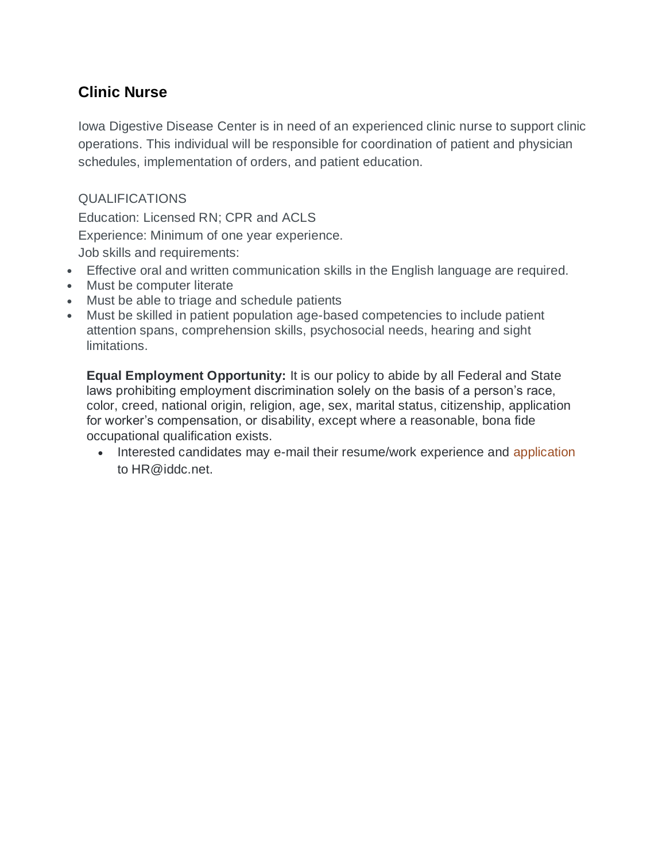## **Clinic Nurse**

Iowa Digestive Disease Center is in need of an experienced clinic nurse to support clinic operations. This individual will be responsible for coordination of patient and physician schedules, implementation of orders, and patient education.

### QUALIFICATIONS

Education: Licensed RN; CPR and ACLS Experience: Minimum of one year experience. Job skills and requirements:

- Effective oral and written communication skills in the English language are required.
- Must be computer literate
- Must be able to triage and schedule patients
- Must be skilled in patient population age-based competencies to include patient attention spans, comprehension skills, psychosocial needs, hearing and sight limitations.

**Equal Employment Opportunity:** It is our policy to abide by all Federal and State laws prohibiting employment discrimination solely on the basis of a person's race, color, creed, national origin, religion, age, sex, marital status, citizenship, application for worker's compensation, or disability, except where a reasonable, bona fide occupational qualification exists.

• Interested candidates may e-mail their resume/work experience and [application](http://www.iddc.net/wp-content/uploads/2015/08/Generic-application.pdf) to HR@iddc.net.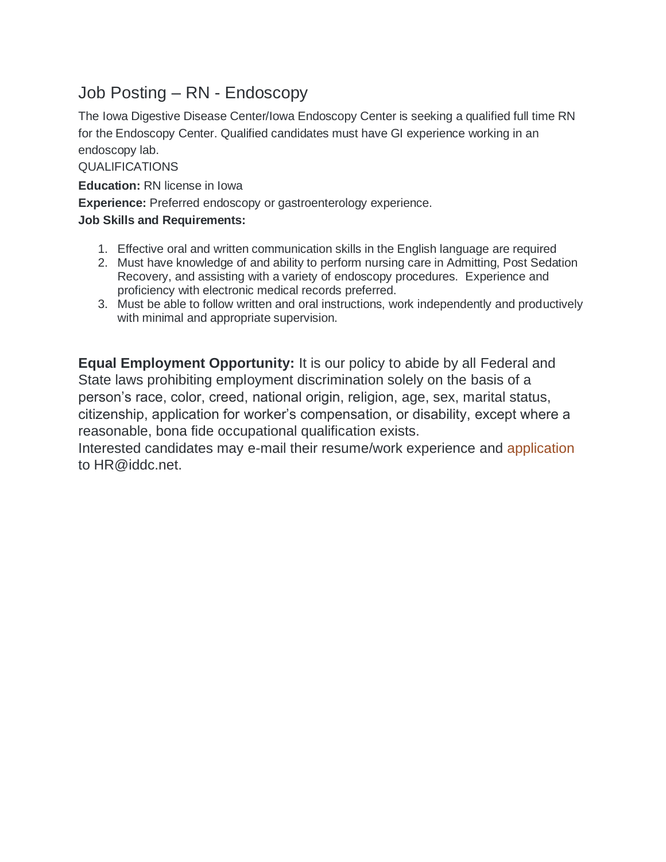## Job Posting – RN - Endoscopy

The Iowa Digestive Disease Center/Iowa Endoscopy Center is seeking a qualified full time RN for the Endoscopy Center. Qualified candidates must have GI experience working in an endoscopy lab.

QUALIFICATIONS

**Education:** RN license in Iowa

**Experience:** Preferred endoscopy or gastroenterology experience.

#### **Job Skills and Requirements:**

- 1. Effective oral and written communication skills in the English language are required
- 2. Must have knowledge of and ability to perform nursing care in Admitting, Post Sedation Recovery, and assisting with a variety of endoscopy procedures. Experience and proficiency with electronic medical records preferred.
- 3. Must be able to follow written and oral instructions, work independently and productively with minimal and appropriate supervision.

**Equal Employment Opportunity:** It is our policy to abide by all Federal and State laws prohibiting employment discrimination solely on the basis of a person's race, color, creed, national origin, religion, age, sex, marital status, citizenship, application for worker's compensation, or disability, except where a reasonable, bona fide occupational qualification exists.

Interested candidates may e-mail their resume/work experience and [application](http://www.iddc.net/wp-content/uploads/2015/08/Generic-application.pdf) to HR@iddc.net.